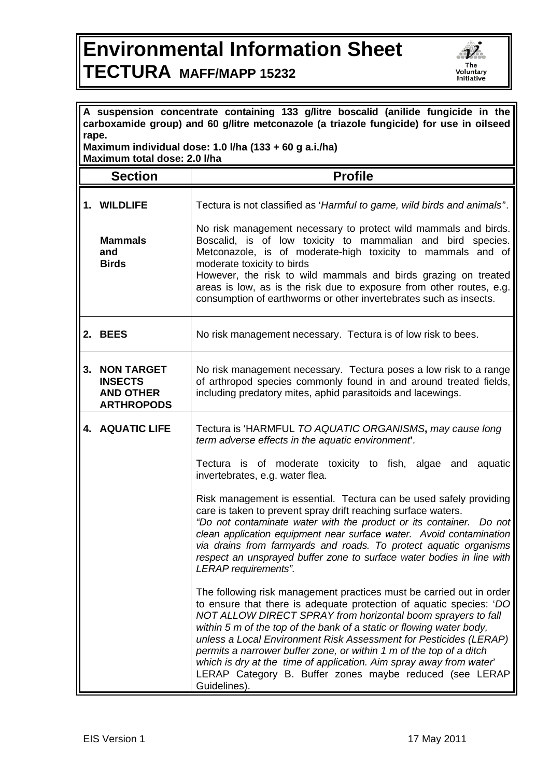## **Environmental Information Sheet TECTURA MAFF/MAPP 15232**



| A suspension concentrate containing 133 g/litre boscalid (anilide fungicide in the<br>carboxamide group) and 60 g/litre metconazole (a triazole fungicide) for use in oilseed<br>rape. |                                                                              |                                                                                                                                                                                                                                                                                                                                                                                                                                                                                                                                                                                                                                                                                                                                                                                                                                                                                                                                                                                                                                                                                                                                                                                                                                                                  |  |
|----------------------------------------------------------------------------------------------------------------------------------------------------------------------------------------|------------------------------------------------------------------------------|------------------------------------------------------------------------------------------------------------------------------------------------------------------------------------------------------------------------------------------------------------------------------------------------------------------------------------------------------------------------------------------------------------------------------------------------------------------------------------------------------------------------------------------------------------------------------------------------------------------------------------------------------------------------------------------------------------------------------------------------------------------------------------------------------------------------------------------------------------------------------------------------------------------------------------------------------------------------------------------------------------------------------------------------------------------------------------------------------------------------------------------------------------------------------------------------------------------------------------------------------------------|--|
| Maximum individual dose: 1.0 I/ha (133 + 60 g a.i./ha)<br>Maximum total dose: 2.0 I/ha                                                                                                 |                                                                              |                                                                                                                                                                                                                                                                                                                                                                                                                                                                                                                                                                                                                                                                                                                                                                                                                                                                                                                                                                                                                                                                                                                                                                                                                                                                  |  |
|                                                                                                                                                                                        | <b>Section</b>                                                               | <b>Profile</b>                                                                                                                                                                                                                                                                                                                                                                                                                                                                                                                                                                                                                                                                                                                                                                                                                                                                                                                                                                                                                                                                                                                                                                                                                                                   |  |
|                                                                                                                                                                                        | 1. WILDLIFE<br><b>Mammals</b><br>and<br><b>Birds</b>                         | Tectura is not classified as 'Harmful to game, wild birds and animals".<br>No risk management necessary to protect wild mammals and birds.<br>Boscalid, is of low toxicity to mammalian and bird species.<br>Metconazole, is of moderate-high toxicity to mammals and of<br>moderate toxicity to birds<br>However, the risk to wild mammals and birds grazing on treated<br>areas is low, as is the risk due to exposure from other routes, e.g.<br>consumption of earthworms or other invertebrates such as insects.                                                                                                                                                                                                                                                                                                                                                                                                                                                                                                                                                                                                                                                                                                                                            |  |
|                                                                                                                                                                                        | 2. BEES                                                                      | No risk management necessary. Tectura is of low risk to bees.                                                                                                                                                                                                                                                                                                                                                                                                                                                                                                                                                                                                                                                                                                                                                                                                                                                                                                                                                                                                                                                                                                                                                                                                    |  |
| 3.                                                                                                                                                                                     | <b>NON TARGET</b><br><b>INSECTS</b><br><b>AND OTHER</b><br><b>ARTHROPODS</b> | No risk management necessary. Tectura poses a low risk to a range<br>of arthropod species commonly found in and around treated fields,<br>including predatory mites, aphid parasitoids and lacewings.                                                                                                                                                                                                                                                                                                                                                                                                                                                                                                                                                                                                                                                                                                                                                                                                                                                                                                                                                                                                                                                            |  |
|                                                                                                                                                                                        | <b>4. AQUATIC LIFE</b>                                                       | Tectura is 'HARMFUL TO AQUATIC ORGANISMS, may cause long<br>term adverse effects in the aquatic environment.<br>Tectura is of moderate toxicity to fish, algae<br>and aquatic<br>invertebrates, e.g. water flea.<br>Risk management is essential. Tectura can be used safely providing<br>care is taken to prevent spray drift reaching surface waters.<br>"Do not contaminate water with the product or its container. Do not<br>clean application equipment near surface water. Avoid contamination<br>via drains from farmyards and roads. To protect aquatic organisms<br>respect an unsprayed buffer zone to surface water bodies in line with<br>LERAP requirements".<br>The following risk management practices must be carried out in order<br>to ensure that there is adequate protection of aquatic species: 'DO<br>NOT ALLOW DIRECT SPRAY from horizontal boom sprayers to fall<br>within 5 m of the top of the bank of a static or flowing water body,<br>unless a Local Environment Risk Assessment for Pesticides (LERAP)<br>permits a narrower buffer zone, or within 1 m of the top of a ditch<br>which is dry at the time of application. Aim spray away from water'<br>LERAP Category B. Buffer zones maybe reduced (see LERAP<br>Guidelines). |  |